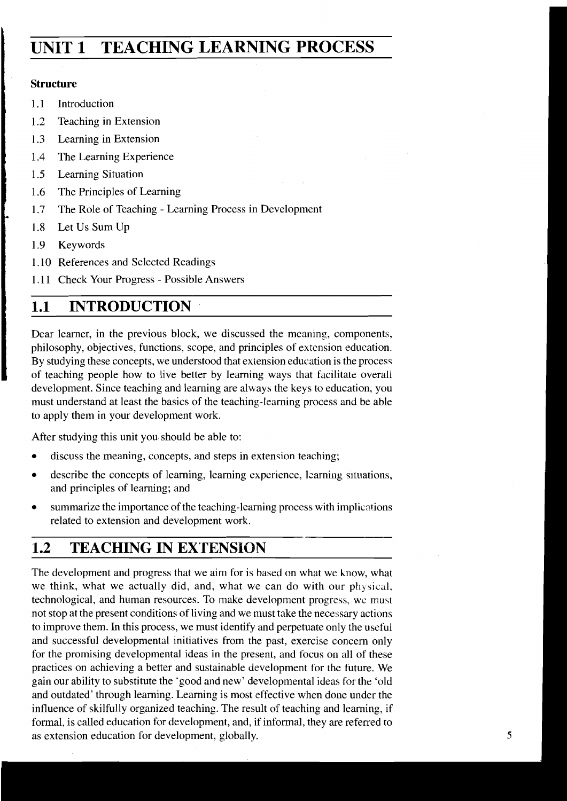# **UNIT 1 TEACHING LEARNING PROCESS**

## **Structure**

- 1.1 Introduction
- 1.2 Teaching in Extension
- 1.3 Learning in Extension
- 1.4 The Learning Experience
- 1.5 Learning Situation
- 1.6 The Principles of Learning
- 1.7 The Role of Teaching Learning Process in Development
- 1.8 Let Us Sum Up
- 1.9 Keywords
- 1.10 References and Selected Readings
- 1.11 Check Your Progress Possible Answers

## **1.1 INTRODUCTION**

Dear learner, in the previous block, we discussed the meaning, components, philosophy, objectives, functions, scope, and principles of extension education. By studying these concepts, we understood that extension education is the process of teaching people how to live better by learning ways that facilitate overall development. Since teaching and learning are always the keys to education, you must understand at least the basics of the teaching-learning process and be able to apply them in your development work.

After studying this unit you should be able to:

- discuss the meaning, concepts, and steps in extension teaching;
- describe the concepts of learning, learning experience, learning situations,  $\bullet$ and principles of learning; and
- summarize the importance of the teaching-learning process with implications  $\bullet$ related to extension and development work.

# **1.2 TEACHING IN EXTENSION**

The development and progress that we aim for is based on what we know, what we think, what we actually did, and, what we can do with our physical. technological, and human resources. To make development progress, we must not stop at the present conditions of living and we must take the necessary actions to improve them. In this process, we must identify and perpetuate only the uscful and successful developmental initiatives from the past, exercise concern only for the promising developmental ideas in the present, and focus on all of these practices on achieving a better and sustainable development for the future. We gain our ability to substitute the 'good and new' developmental ideas for the 'old and outdated' through learning. Learning is most effective when done under the influence of skilfully organized teaching. The result of teaching and learning, if formal, is called education for development, and, if informal, they are referred to as extension education for development, globally.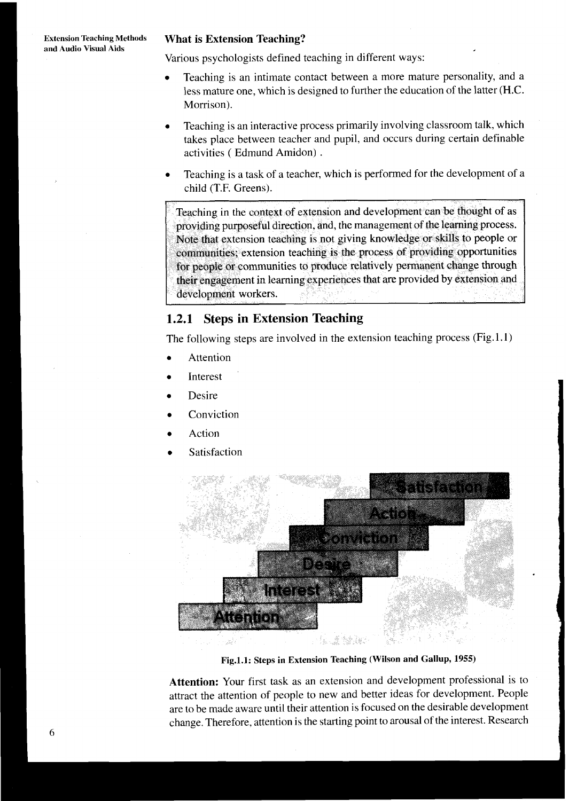Various psychologists defined teaching in different ways:

- Teaching is an intimate contact between a more mature personality, and a less mature one, which is designed to further the education of the latter (H.C. Morrison).
- Teaching is an interactive process primarily involving classroom talk, which takes place between teacher and pupil, and occurs during certain definable activities ( Edmund Amidon) .
- Teaching is a task of a teacher, which is performed for the development of a child (T.F. Greens).

Teaching in the context of extension and development can be thought of as providing purposeful direction, and, the management of the learning process. Note that extension teaching is not giving knowledge or skills to people or communities; extension teaching is the process of providing opportunities for people or communities to produce relatively permanent change through their engagement in learning experiences that are provided by extension and development workers.

 $\mathbf{I}$ 

## **1.2.1 Steps in Extension Teaching**

The following steps are involved in the extension teaching process (Fig. 1.1)

- Attention
- Interest
- Desire
- Conviction
- Action
- Satisfaction



**Fig.l.1: Steps in Extension Teaching (Wilson and Gallup, 1955)** 

**Attention:** Your first task as an extension and development professional is to attract the attention of people to new and better ideas for development. People are to be made aware until their attention is focused on the desirable development change. Therefore, attention is the starting point to arousal of the interest. Research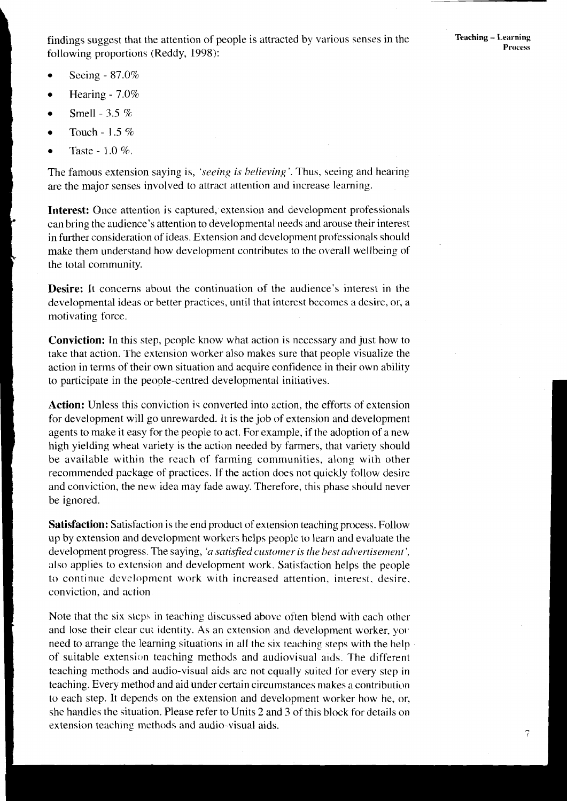findings suggest that the attention of people is attracted by various senses in the following proportions (Reddy, 1998):

7

- Seeing 87.0%
- Hearing 7.0%
- Smell 3.5 %
- Touch 1.5 %
- Taste  $1.0\%$ .

The famous extension saying is, *'seeing is believing'*. Thus, seeing and hearing are the major senses involved to attract attention and increase learning.

**Interest:** Once attention is captured, extension and development professionals can bring the audience's attention to developmental needs and arouse their interest in further consideration of ideas. Extension and development professionals should make them understand how development contributes to the overall wellbeing of the total community.

**Desire:** It concerns about the continuation of the audience's interest in the developmental ideas or better practices, until that interest becomes a desire, or, a motivating force.

**Conviction:** In this step, people know what action is necessary and just how to take that action. The extension worker also makes sure that people visualize the action in terms of their own situation and acquire confidence in their own ability to participate in the people-centred developmental initiatives.

**Action:** Unless this conviction **is** converted into action, the efforts of extension for development will go unrewarded. It is the job of extension and development agents to make it easy for the people to act. For example, if the adoption of a new high yielding wheat variety is the action needed by farmers, that variety should be available within the reach of farming communities. along with other recommended package of practices. If the action does not quickly follow desire and conviction, the new idea may fade away. Therefore, this phase should never be ignored.

**Satisfaction:** Satisfaction is the end product of extension teaching process. Follow up by extension and developinent workers helps people to learn and evaluate the development progress. The saying, 'a satisfied customer is the hest advertisement', also applies to extension and development work. Satisfaction helps the people to continue development work with increased attention, interest, desire. conviction, and action

Note that the six steps in teaching discussed above often blend with each other and lose their clear cut identity. As an extension and development worker, you need to arrange the learning situations in all the six teaching steps with the help . of suitable extension teaching methods and audiovisual aids. The different teaching methods and audio-visual aids arc not equally suited for every step in teaching. Every method and aid under certain circumstances makes a contribution to each step. It depends on the extension and development worker how he, or, she handles the situation. Please refer to Units 2 and 3 of this block for details on extension teaching methods and audio-visual aids.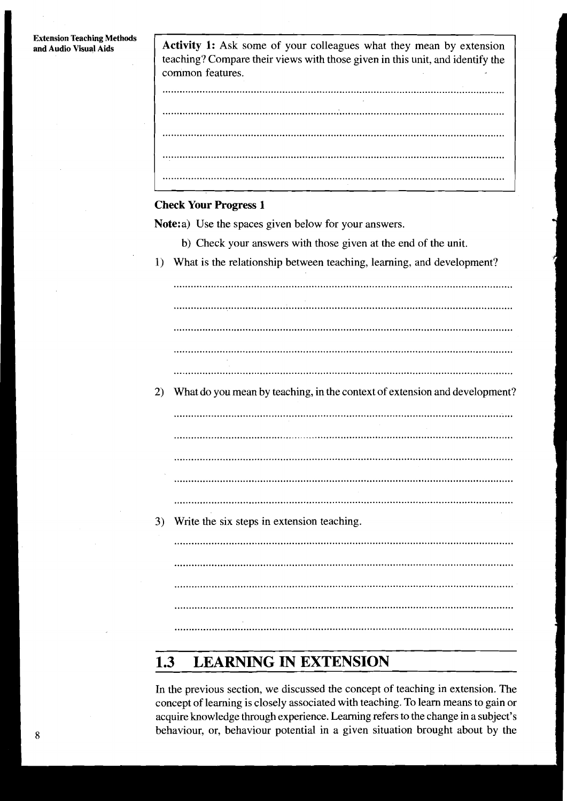#### **Extension Teaching Methods** and Audio Visual Aids

| Activity 1: Ask some of your colleagues what they mean by extension<br>teaching? Compare their views with those given in this unit, and identify the<br>common features. |
|--------------------------------------------------------------------------------------------------------------------------------------------------------------------------|
|                                                                                                                                                                          |
|                                                                                                                                                                          |
|                                                                                                                                                                          |
|                                                                                                                                                                          |

### **Check Your Progress 1**

Note:a) Use the spaces given below for your answers.

- b) Check your answers with those given at the end of the unit.
- 1) What is the relationship between teaching, learning, and development?

2) What do you mean by teaching, in the context of extension and development?

3) Write the six steps in extension teaching.

#### **LEARNING IN EXTENSION**  $1.3$

In the previous section, we discussed the concept of teaching in extension. The concept of learning is closely associated with teaching. To learn means to gain or acquire knowledge through experience. Learning refers to the change in a subject's behaviour, or, behaviour potential in a given situation brought about by the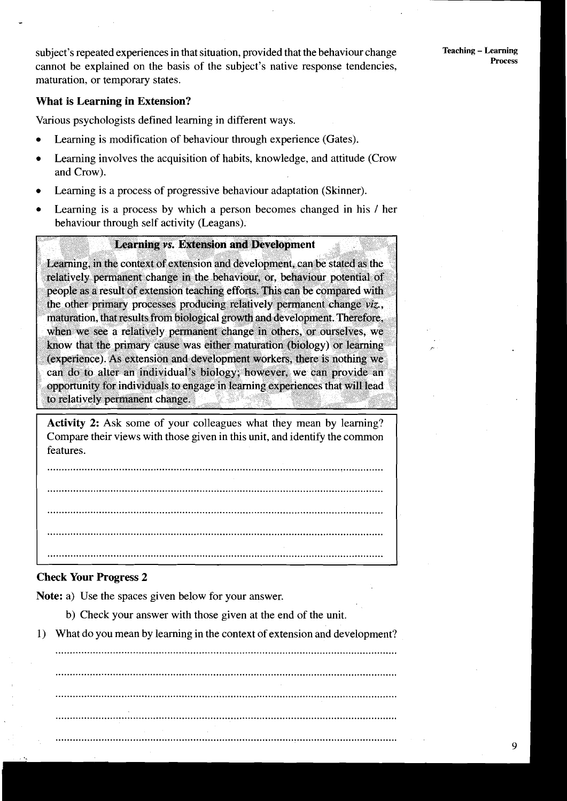subject's repeated experiences in that situation, provided that the behaviour change **Teaching** - **Learning**  cannot be explained on the basis of the subject's native response tendencies, maturation, or temporary states.

## **What is Learning in Extension?**

Various psychologists defined learning in different ways.

- Learning is modification of behaviour through experience (Gates).
- Learning involves the acquisition of habits, knowledge, and attitude (Crow and Crow).
- Learning is a process of progressive behaviour adaptation (Skinner).
- Learning is a process by which a person becomes changed in his / her behaviour through self activity (Leagans).

## **Learning vs. Extension and Development**

Learning, in the context of extension and development, can be stated as the relatively permanent change in the behaviour, or, behaviour potential of people as a result of extension teaching efforts. This can be compared with the other primary processes producing relatively permanent change viz., maturation, that results from biological growth and development. Therefore, when we see a relatively permanent change in others, or ourselves, we know that the primary cause was either maturation (biology) or learning (experience). As extension and development workers, there is nothing we can do to alter an individual's biology; however, we can provide an opportunity for individuals to engage in learning experiences that will lead to relatively permanent change.

Activity 2: Ask some of your colleagues what they mean by learning? Compare their views with those given in this unit, and identify the common features.

## **Check Your Progress 2**

**Note:** a) Use the spaces given below for your answer.

- b) Check your answer with those given at the end of the unit.
- 1) What do you mean by learning in the context of extension and development?

.......................................................................................................................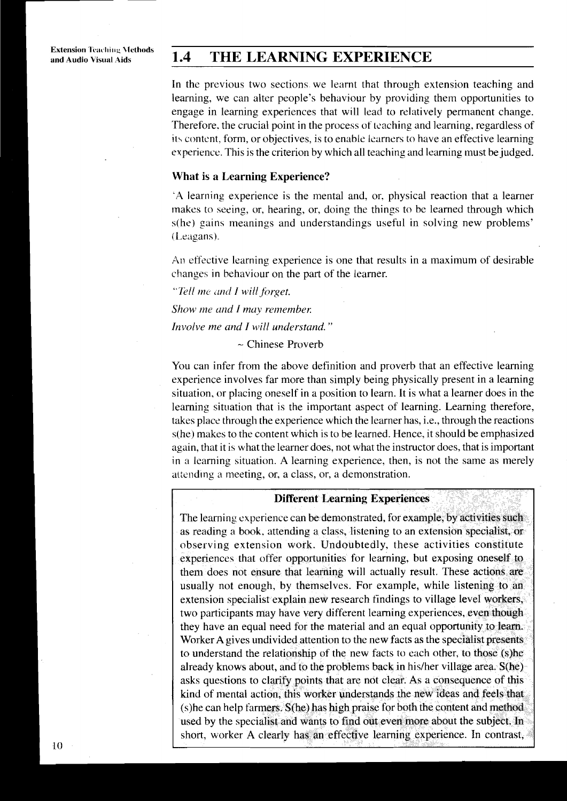#### $1.4$ THE LEARNING EXPERIENCE

In the previous two sections we learnt that through extension teaching and learning, we can alter people's behaviour by providing them opportunities to engage in learning experiences that will lead to relatively permanent change. Therefore, the crucial point in the process of teaching and learning, regardless of its content, form, or objectives, is to enable learners to have an effective learning experience. This is the criterion by which all teaching and learning must be judged.

## **What is a Learning Experience?**

'A learning experience is the mental and, or, physical reaction that a learner makes to seeing, or, hearing, or, doing the things to be learned through which s(he) gains meanings and understandings useful in solving new problems' (Leagans).

An effective learning experience is one that results in a maximum of desirable changes in behaviour on the part of the learner.

"Tell me and I will forget.

Show me and I may remember.

Involve me and I will understand."

 $\sim$  Chinese Proverb

You can infer from the above definition and proverb that an effective learning experience involves far more than simply being physically present in a learning situation, or placing oneself in a position to learn. It is what a learner does in the learning situation that is the important aspect of learning. Learning therefore, takes place through the experience which the learner has, i.e., through the reactions s(he) makes to the content which is to be learned. Hence, it should be emphasized again, that it is what the learner does, not what the instructor does, that is important in a learning situation. A learning experience, then, is not the same as merely attending a meeting, or, a class, or, a demonstration.

#### **Different Learning Experiences**

The learning experience can be demonstrated, for example, by activities such as reading a book, attending a class, listening to an extension specialist, or observing extension work. Undoubtedly, these activities constitute experiences that offer opportunities for learning, but exposing oneself to them does not ensure that learning will actually result. These actions are usually not enough, by themselves. For example, while listening to an extension specialist explain new research findings to village level workers, two participants may have very different learning experiences, even though they have an equal need for the material and an equal opportunity to learn. Worker A gives undivided attention to the new facts as the specialist presents to understand the relationship of the new facts to each other, to those (s)he already knows about, and to the problems back in his/her village area. S(he) asks questions to clarify points that are not clear. As a consequence of this kind of mental action, this worker understands the new ideas and feels that (s) he can help farmers. S(he) has high praise for both the content and method used by the specialist and wants to find out even more about the subject. In short, worker A clearly has an effective learning experience. In contrast,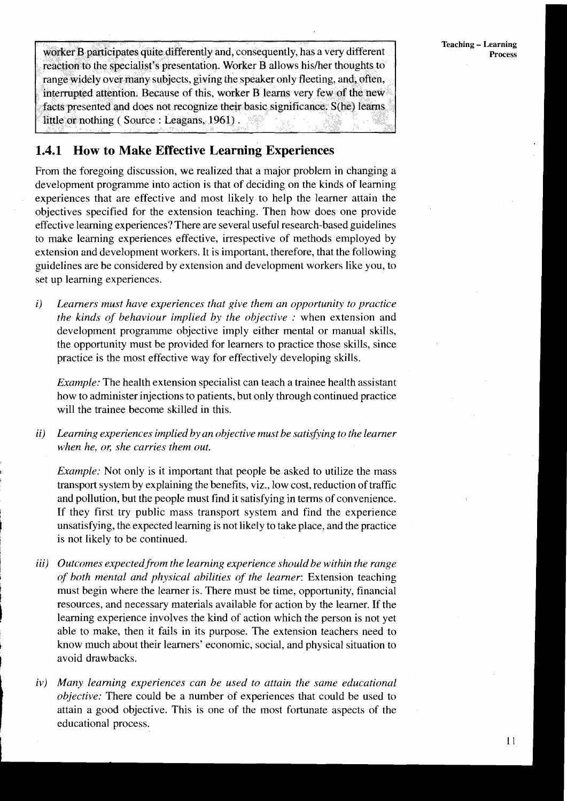worker **B** participates quite differently and, consequently, has a very different reaction to the specialist's presentation. Worker B allows hisfher thoughts to range widely over many subjects, giving the speaker only fleeting, and, often, interrupted attention. Because of this, worker B learns very few of the new facts presented and does not recognize their basic significance. S(he) learns little or nothing ( Source : Leagans, 1961) .

## **1.4.1 How to Make Effective Learning Experiences**

From the foregoing discussion, we realized that a major problem in changing a development programme into action is that of deciding on the kinds of learning experiences that are effective and most likely to help the learner attain the objectives specified for the extension teaching. Then how does one provide effective learning experiences? There are several useful research-based guidelines to make learning experiences effective, irrespective of methods employed by extension and development workers. It is important, therefore, that the following guidelines are be considered by extension and development workers like you, to set up learning experiences.

*i) Learners must have experiences that give them an opportunity to practice the kinds of behaviour implied by the objective :* when extension and development programme objective imply either mental or manual skills, the opportunity must be provided for learners to practice those skills, since practice is the most effective way for effectively developing skills.

*Example:* The health extension specialist can teach a trainee health assistant how to administer injections to patients, but only through continued practice will the trainee become skilled in this.

*ii) Learning experiences implied by an objective must be satishing to the learner when he, or, she carries them out.* 

*Example:* Not only is it important that people be asked to utilize the mass transport system by explaining the benefits, viz., low cost, reduction of traffic and pollution, but the people must find it satisfying in terms of convenience. If they first try public mass transport system and find the experience unsatisfying, the expected learning is not likely to take place, and the practice is not likely to be continued.

- iii) Outcomes expected from the learning experience should be within the range *of both mental and physical abilities of the learner: Extension teaching* must begin where the learner is. There must be time, opportunity, financial 1 resources, and necessary materials available for action by the learner. If the learning experience involves the kind of action which the person is not yet able to make, then it fails in its purpose. The extension teachers need to **<sup>t</sup>**know much about their learners' economic, social, and physical situation to avoid drawbacks.
- iv) Many learning experiences can be used to attain the same educational objective: There could be a number of experiences that could be used to attain a good objective. This is one of the most fortunate aspects of the educational process.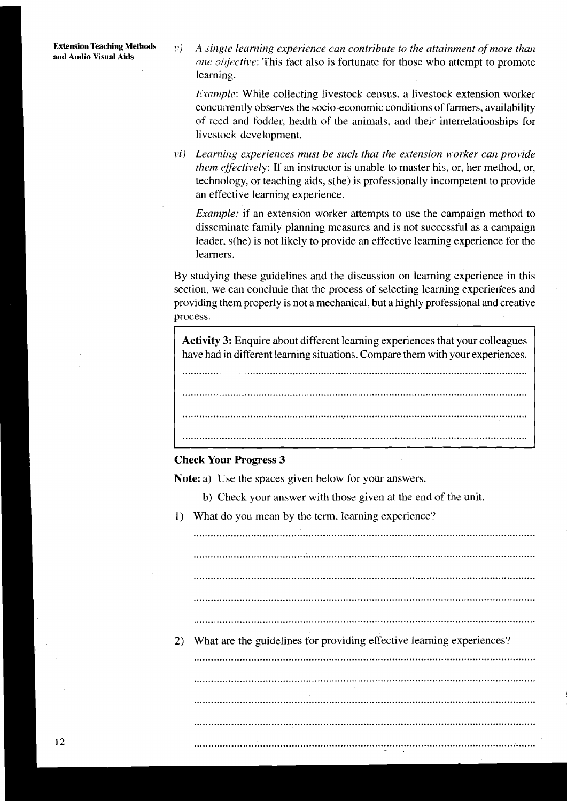**Extension Teaching Methods**  $\psi$  *A single learning experience can contribute to the attainment of more than one objective:* This fact also is fortunate for those who attempt to promote learning.

> *Example:* While collecting livestock census, a livestock extension worker concuirently observes the socio-economic conditions of farmers, availability of iced and fodder. health of the animals, and their interrelationships for livestock development.

*I Learning experiences must be such that the extension worker can provide them effectively*: If an instructor is unable to master his, or, her method, or, technology, or teaching aids, s(he) is professionally incompetent to provide an effective learning experience.

*Example:* if an extension worker attempts to use the campaign method to disseminate family planning measures and is not successful as a campaign leader, s(he) is not likely to provide an effective learning experience for the learners.

By studying these guidelines and the discussion on learning experience in this section, we can conclude that the process of selecting learning experien'ces and providing them properly is not a mechanical, but a highly professional and creative process.

**Activity 3:** Enquire about different learning experiences that your colleagues have had in different learning situations. Compare them with your experiences.

.............. ..................................................................................................... ..........................................................................................................................

..........................................................................................................................

..........................................................................................................................

## **Check Your Progress 3**

Note: a) Use the spaces given below for your answers.

- b) Check your answer with those given at the end of the unit.
- 1) What do you mean by the term, learning experience?

....................................................................................................................... ....................................................................................................................... .......................................................................................................................

.......................................................................................................................

.......................................................................................................................

.......................................................................................................................

.......................................................................................................................

.......................................................................................................................

.......................................................................................................................

2) What are the guidelines for providing effective learning experiences?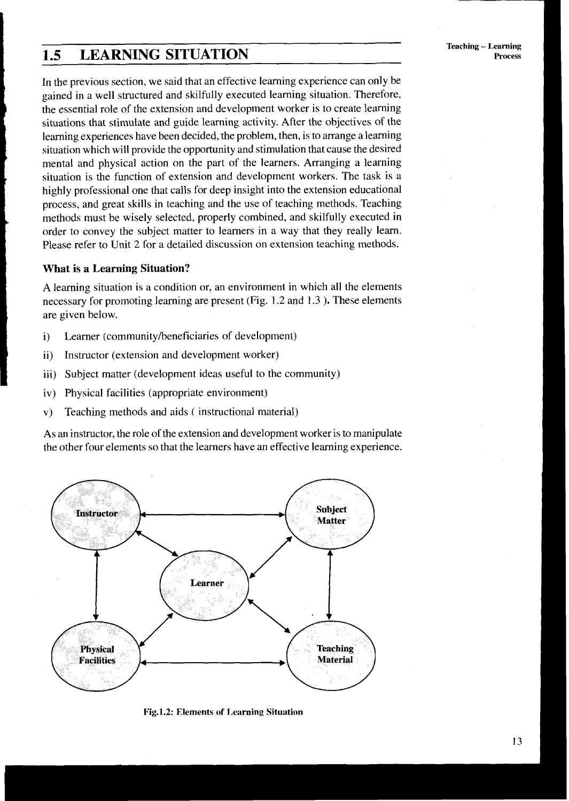## **1.5 LEARNING SITUATION**

In the previous section, we said that an effective learning experience can only be gained in a well structured and skilfully executed learning situation. Therefore, the essential role of the extension and development worker is to create learning situations that stimulate and guide learning activity. After the objectives of the learning experiences have been decided, the problem, then, is to arrange a learning situation which will provide the opportunity and stimulation that cause the desired **<sup>1</sup>**mental and physical action on the part of the learners. Arranging a learning situation is the function of extension and development workers. The task is a highly professional one that calls for deep insight into the extension educational process, and great skills in teaching and the use of teaching methods. Teaching methods must be wisely selected, properly combined, and skilfully executed in order to convey the subject matter to learners in a way that they really learn. Please refer to Unit 2 for a detailed discussion on extension teaching methods.

## <sup>I</sup>**What is a Learning Situation?**

A learning situation is a condition or, an environment in which all the elements necessary for promoting learning are present (Fig. 1.2 and 1.3 ). These elements are given below.

- i) Learner (community/beneficiaries of development)
- ii) Instructor (extension and development worker)
- iii) Subject matter (development ideas useful to the community)
- iv) Physical facilities (appropriate environment)
- v) Teaching methods and aids ( instructional material)

As an instructor, the role of the extension and development worker is to manipulate the other four elements so that the learners have an effective learning experience.



**Fig.1.2: Elements of Learning Situation**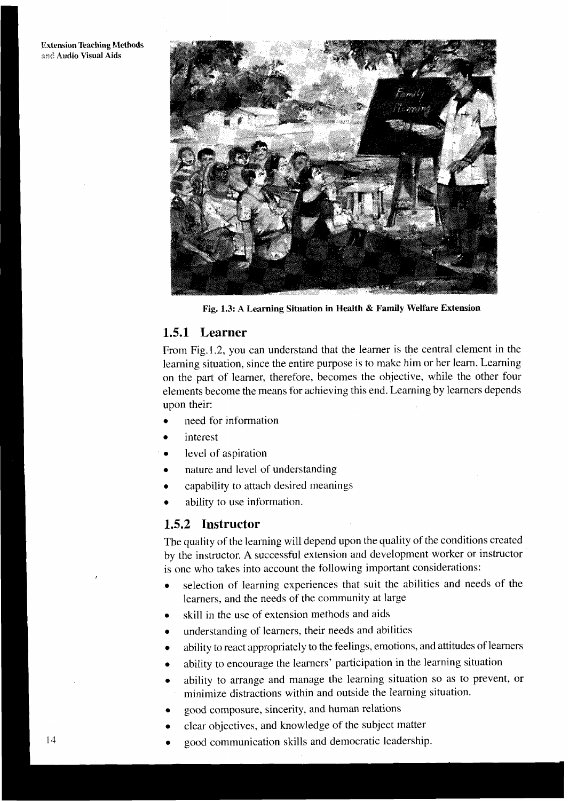**Extension Teaching Methods 2.r:: Audio Visual Aids** 



**Fig. 1.3: A Learning Situation in Health** & **Family Welfare Extension** 

## **1.5.1 Learner**

From Fig. 1.2, you can understand that the learner is the central element in the learning situation, since the entire purpose is to make him or her learn. Learning on the part of learner, therefore, becomes the objective, while the other four elements become the means for achieving this end. Learning by learners depends upon their:

- need for information
- interest
- level of aspiration
- nature and level of understanding
- capability to attach desired meanings
- ability to use information.

## **1.5.2 Instructor**

The quality of the learning will depend upon the quality of the conditions created by the instructor. A successful extension and development worker or instructor is one who takes into account the following important considerations:

- selection of learning experiences that suit the abilities and needs of the  $\bullet$ learners, and the needs of the community at large
- skill in the use of extension methods and aids
- understanding of learners, their needs and abilities
- ability to react appropriately to the feelings, emotions, and attitudes of learners
- ability to encourage the learners' participation in the learning situation
- ability to arrange and manage the learning situation so as to prevent, or minimize distractions within and outside the learning situation.
- good composure, sincerity, and human relations
- clear objectives, and knowledge of the subject matter
- good communication skills and democratic leadership.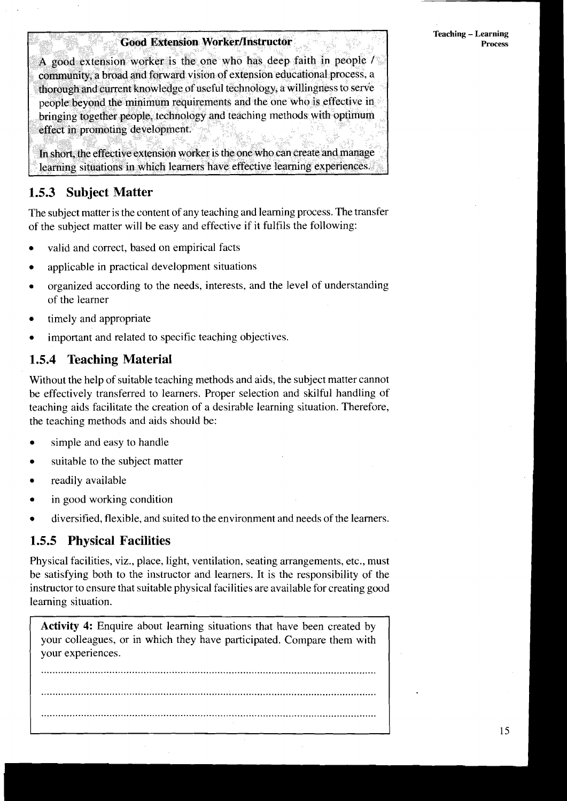## **Good Extension Worker/Instructor**

A good extension worker is the one who has deep faith in people  $\ell$ community, a broad and forward vision of extension educational process, a thorough and current knowledge of useful technology, a willingness to serve people beyond the minimum requirements and the one who is effective in bringing together people, technology and teaching methods with optimum effect in promoting development.

In short, the effective extension worker is the one who can create and manage learning situations in which learners have effective learning experiences.

## **1.5.3 Subject Matter**

The subject matter is the content of any teaching and learning process. The transfer of the subject matter will be easy and effective if it fulfils the following:

- valid and correct, based on empirical facts
- applicable in practical development situations
- organized according to the needs, interests, and the level of understanding of the learner
- timely and appropriate
- important and related to specific teaching objectives.

## **1.5.4 Teaching Material**

Without the help of suitable teaching methods and aids, the subject matter cannot be effectively transferred to learners. Proper selection and skilful handling of teaching aids facilitate the creation of a desirable learning situation. Therefore, the teaching methods and aids should be:

- simple and easy to handle
- suitable to the subject matter
- readily available
- in good working condition
- diversified, flexible, and suited to the environment and needs of the learners.

## **1.5.5 Physical Facilities**

Physical facilities, viz., place, light, ventilation, seating arrangements, etc., must be satisfying both to the instructor and learners. It is the responsibility of the instructor to ensure that suitable physical facilities are available for creating good learning situation.

**Activity** 4: Enquire about learning situations that have been created by your colleagues, or in which they have participated. Compare them with your experiences.

...................................................................................................................... ...................................................................................................................... ......................................................................................................................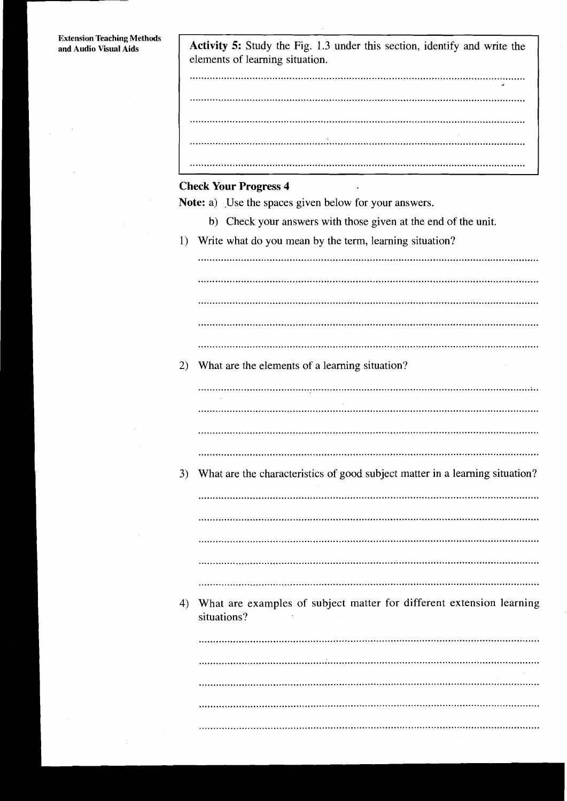Activity 5: Study the Fig. 1.3 under this section, identify and write the elements of learning situation.

# **Check Your Progress 4**

**Note:** a) Use the spaces given below for your answers.

- b) Check your answers with those given at the end of the unit.
- 1) Write what do you mean by the term, learning situation?

2) What are the elements of a learning situation? 

3) What are the characteristics of good subject matter in a learning situation?

4) What are examples of subject matter for different extension learning situations?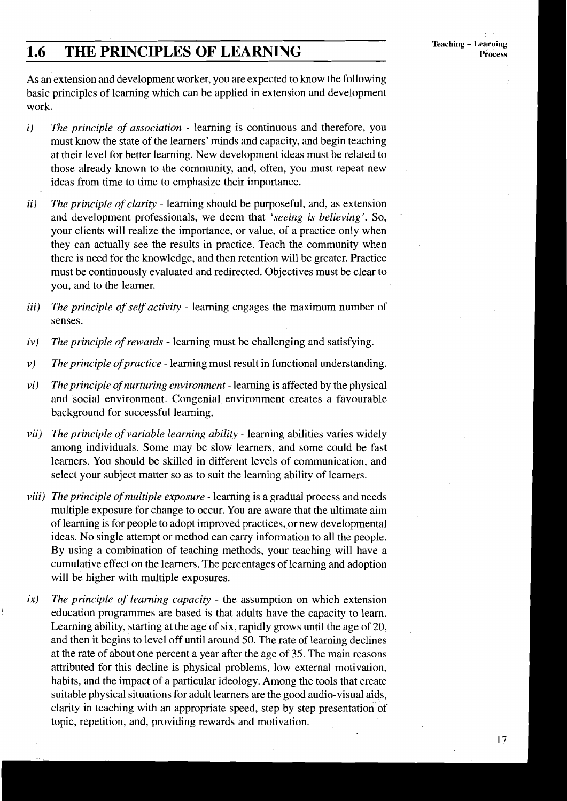#### **Teaching - Learning** Process

## **1.6 THE PRINCIPLES OF LEARNING**

As an extension and development worker, you are expected to know the following basic principles of learning which can be applied in extension and development work.

- *i) The principle of association*  learning is continuous and therefore, you must know the state of the learners' minds and capacity, and begin teaching at their level for better learning. New development ideas must be related to those already known to the community, and, often, you must repeat new ideas from time to time to emphasize their importance.
- *ii) The principle of clarity*  learning should be purposeful, and, as extension and development professionals, we deem that *'seeing is believing'.* So, ' your clients will realize the importance, or value, of a practice only when they can actually see the results in practice. Teach the community when there is need for the knowledge, and then retention will be greater. Practice must be continuously evaluated and redirected. Objectives must be clear to you, and to the learner.
- *iii) The principle of self activity*  learning engages the maximum number of senses.
- *iv)* The principle of rewards learning must be challenging and satisfying.<br>*v*) The principle of practice learning must result in functional understanding
- *v*) The principle of practice learning must result in functional understanding.<br>*vi*) The principle of nurturing environment learning is affected by the physical
- *The principle of nurturing environment* learning is affected by the physical and social environment. Congenial environment creates a favourable background for successful learning.
- *vii) The principle of variable learning ability*  learning abilities varies widely among individuals. Some may be slow learners, and some could be fast learners. You should be skilled in different levels of communication, and select your subject matter so as to suit the learning ability of learners.
- *viii) The principle of multiple exposure*  learning is a gradual process and needs multiple exposure for change to occur. You are aware that the ultimate aim of learning is for people to adopt improved practices, or new developmental ideas. No single attempt or method can carry information to all the people. By using a combination of teaching methods, your teaching will have a cumulative effect on the learners. The percentages of learning and adoption will be higher with multiple exposures.
- *ix) The principle of learning capacity*  the assumption on which extension education programmes are based is that adults have the capacity to learn. Learning ability, starting at the age of six, rapidly grows until the age of 20, and then it begins to level off until around 50. The rate of learning declines at the rate of about one percent a year after the age of 35. The main reasons attributed for this decline is physical problems, low external motivation, habits, and the impact of a particular ideology. Among the tools that create suitable physical situations for adult learners are the good audio-visual aids, clarity in teaching with an appropriate speed, step by step presentation of topic, repetition, and, providing rewards and motivation.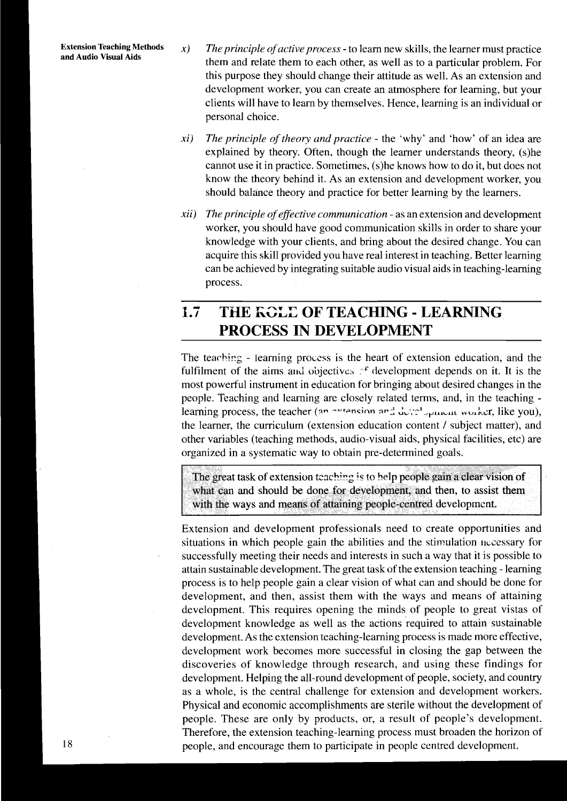- Extension Teaching Methods  $x$  The principle of active process to learn new skills, the learner must practice<br>and Audio Visual Aids them and relate them to each other, as well as to a particular problem. For this purpose they should change their attitude as well. As an extension and development worker, you can create an atmosphere for learning, but your clients will have to learn by themselves. Hence, learning is an individual or personal choice.
	- **xi)** *The principle of theory and practice*  the 'why' and 'how' of an idea are explained by theory. Often, though the learner understands theory, (s)he cannot use it in practice. Sometimes, (s)he knows how to do it, but does not know the theory behind it. As an extension and development worker, you should balance theory and practice for better learning by the learners.
	- *xii)* The principle of effective communication as an extension and development worker, you should have good communication skills in order to share your knowledge with your clients, and bring about the desired change. You can acquire this skill provided you have real interest in teaching. Better learning can be achieved by integrating suitable audio visual aids in teaching-learning process.

# **1.7 THE** KGLZ **OF TEACHING** - **LEARNING PROCESS IN DEVELOPMENT**

The teachirg - learning process is the heart of extension education, and the fulfilment of the aims and objectives  $\tau$ <sup>f</sup> development depends on it. It is the most powerful instrument in education for bringing about desired changes in the people. Teaching and learning are closely related terms, and, in the teaching learning process, the teacher (an <u>outension and development</u> worker, like you), the learner, the curriculum (extension education content / subject matter), and other variables (teaching methods, audio-visual aids, physical facilities, etc) are organized in a systematic way to obtain pre-determined goals.

The great task of extension teaching is to help people gain a clear vision of what can and should be done for development, and then, to assist them with the ways and means of attaining people-centred development.

Extension and development professionals need to create opportunities and situations in which people gain the abilities and the stimulation necessary for successfully meeting their needs and interests in such a way that it is possible to attain sustainable development. The great task of the extension teaching - learning process is to help people gain a clear vision of what can and should be done for development, and then, assist them with the ways and means of attaining development. This requires opening the minds of people to great vistas of development knowledge as well as the actions required to attain sustainable development. As the extension teaching-learning process is made more effective, development work becomes more successful in closing the gap between the discoveries of knowledge through research, and using these findings for development. Helping the all-round development of people, society, and country as a whole, is the central challenge for extension and development workers. Physical and economic accomplishments are sterile without the development of people. These are only by products, or, a result of people's development. Therefore, the extension teaching-learning process must broaden the horizon of 18 people, and encourage them to participate in people centred development.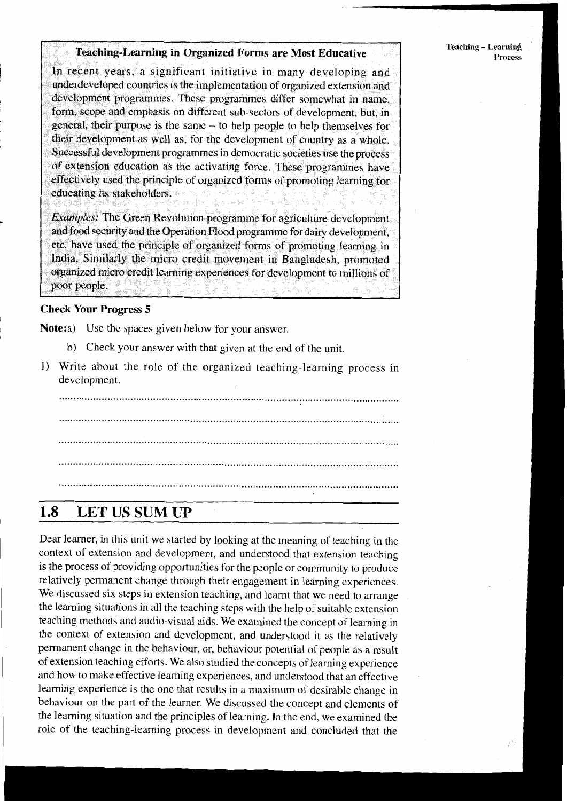**Teaching - Learning** Process

## **Teaching-Learning in Organized Forms are Most Educative**

In recent years, a significant initiative in many developing and underdeveloped countries is the implementation of organized extension and development programmes. These programmes differ somewhat in name. form, scope and emphasis on different sub-sectors of development, but, in general, their purpose is the same - to help people to help themselves for their development as well as, for the development of country as a whole. Successful development programmes in democratic societies use the process of extension education as the activating force. These programmes have effectively used the principle of organized forms of promoting learning for educating its stakeholders.

Examples: The Green Revolution programme for agriculture development. and food security and the Operation Flood programme for dairy development, etc. have used the principle of organized forms of promoting learning in India. Similarly the micro credit movement in Bangladesh, promoted organized micro credit learning experiences for development to millions of poor people.

### **Check Your Progress 5**

Note:a) Use the spaces given below for your answer.

- b) Check your answer with that given at the end of the unit.
- 1) Write about the role of the organized teaching-learning process in development.

#### 1.8 **LET US SUM UP**

Dear learner, in this unit we started by looking at the meaning of teaching in the context of extension and development, and understood that extension teaching is the process of providing opportunities for the people or community to produce relatively permanent change through their engagement in learning experiences. We discussed six steps in extension teaching, and learnt that we need to arrange the learning situations in all the teaching steps with the help of suitable extension teaching methods and audio-visual aids. We examined the concept of learning in the context of extension and development, and understood it as the relatively permanent change in the behaviour, or, behaviour potential of people as a result of extension teaching efforts. We also studied the concepts of learning experience and how to make effective learning experiences, and understood that an effective learning experience is the one that results in a maximum of desirable change in behaviour on the part of the learner. We discussed the concept and elements of the learning situation and the principles of learning. In the end, we examined the role of the teaching-learning process in development and concluded that the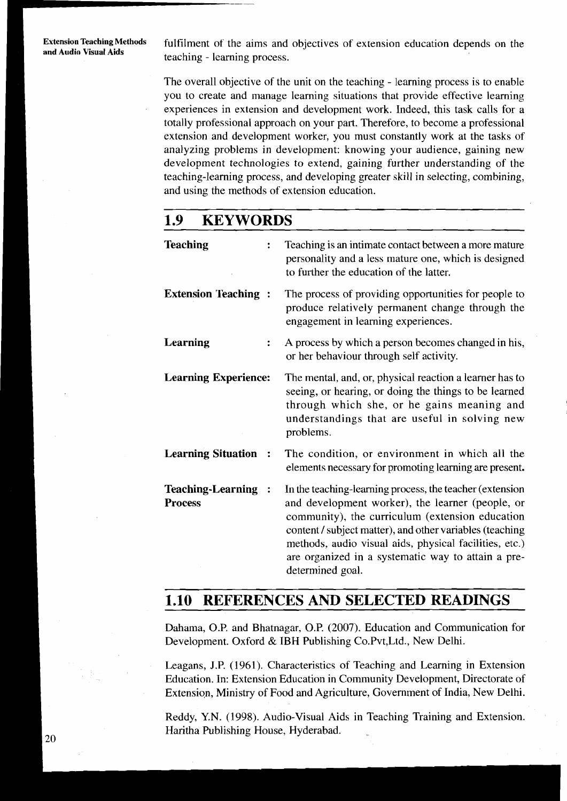fulfilment of the aims and objectives of extension education depends on the teaching - learning process.

The overall objective of the unit on the teaching - learning process is to enable you to create and manage learning situations that provide effective learning experiences in extension and development work. Indeed, this task calls for a totally professional approach on your part. Therefore, to become a professional extension and development worker, you must constantly work at the tasks of analyzing problems in development: knowing your audience, gaining new development technologies to extend, gaining further understanding of the teaching-learning process, and developing greater skill in selecting, combining, and using the methods of extension education.

#### 1.9 **KEYWORDS**

| <b>Teaching</b><br>$\ddot{\cdot}$     | Teaching is an intimate contact between a more mature<br>personality and a less mature one, which is designed<br>to further the education of the latter.                                                                                                                                                                                                        |
|---------------------------------------|-----------------------------------------------------------------------------------------------------------------------------------------------------------------------------------------------------------------------------------------------------------------------------------------------------------------------------------------------------------------|
| <b>Extension Teaching:</b>            | The process of providing opportunities for people to<br>produce relatively permanent change through the<br>engagement in learning experiences.                                                                                                                                                                                                                  |
| Learning<br>$\ddot{\phantom{a}}$      | A process by which a person becomes changed in his,<br>or her behaviour through self activity.                                                                                                                                                                                                                                                                  |
| <b>Learning Experience:</b>           | The mental, and, or, physical reaction a learner has to<br>seeing, or hearing, or doing the things to be learned<br>through which she, or he gains meaning and<br>understandings that are useful in solving new<br>problems.                                                                                                                                    |
| <b>Learning Situation:</b>            | The condition, or environment in which all the<br>elements necessary for promoting learning are present.                                                                                                                                                                                                                                                        |
| Teaching-Learning :<br><b>Process</b> | In the teaching-learning process, the teacher (extension<br>and development worker), the learner (people, or<br>community), the curriculum (extension education<br>content / subject matter), and other variables (teaching<br>methods, audio visual aids, physical facilities, etc.)<br>are organized in a systematic way to attain a pre-<br>determined goal. |

#### REFERENCES AND SELECTED READINGS 1.10

Dahama, O.P. and Bhatnagar, O.P. (2007). Education and Communication for Development. Oxford & IBH Publishing Co.Pvt, Ltd., New Delhi.

Leagans, J.P. (1961). Characteristics of Teaching and Learning in Extension Education. In: Extension Education in Community Development, Directorate of Extension, Ministry of Food and Agriculture, Government of India, New Delhi.

Reddy, Y.N. (1998). Audio-Visual Aids in Teaching Training and Extension. Haritha Publishing House, Hyderabad.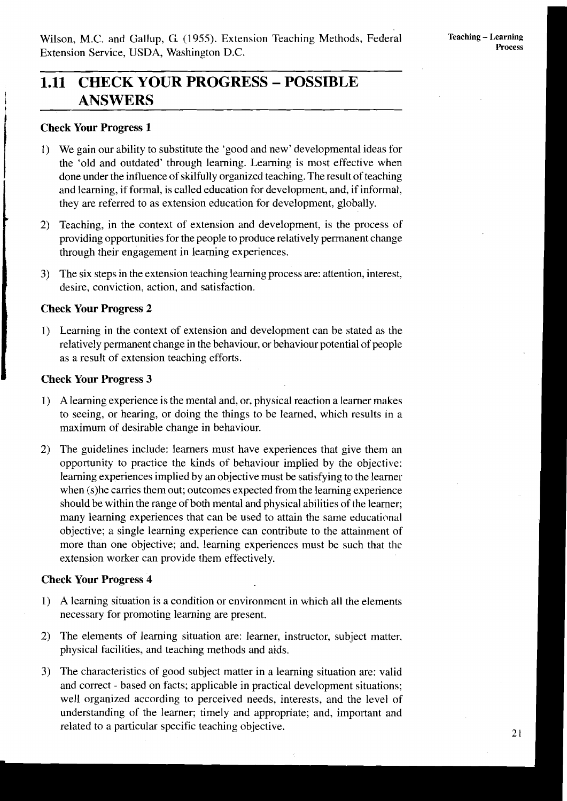# **1.1 CHECK YOUR PROGRESS** - **POSSIBLE**  I **ANSWERS**

## **Check Your Progress 1**

- <sup>1</sup>1) We gain our ability to substitute the 'good and new' developmental ideas for the 'old and outdated' through learning. Learning is most effective when done under the influence of skilfully organized teaching. The result of teaching and learning, if formal, is called education for development, and, if informal, they are referred to as extension education for development, globally.
- 2) Teaching, in the context of extension and development, is the process of providing opportunities for the people to produce relatively permanent change through their engagement in learning experiences.
- 3) The six steps in the extension teaching learning process are: attention, interest, desire, conviction, action, and satisfaction.

## **Check Your Progress 2**

1) Learning in the context of extension and development can be stated as the relatively permanent change in the behaviour, or behaviour potential of people as a result of extension teaching efforts.

## **Check Your Progress 3**

- I) A learning experience is the mental and, or, physical reaction a learner makes to seeing, or hearing, or doing the things to be learned, which results in a maximum of desirable change in behaviour.
- 2) The guidelines include: learners must have experiences that give them an opportunity to practice the kinds of behaviour implied by the objective: learning experiences implied by an objective must be satisfying to the learner when (s)he carries them out; outcomes expected from the learning experience should be within the range of both mental and physical abilities of the learner; many learning experiences that can be used to attain the same educational objective; a single learning experience can contribute to the attainment of more than one objective; and, learning experiences must be such that the extension worker can provide them effectively.

## **Check Your Progress 4**

- 1) A learning situation is a condition or environment in which all the elements necessary for promoting learning are present.
- 2) The elements of learning situation are: learner, instructor, subject matter. physical facilities, and teaching methods and aids.
- 3) The characteristics of good subject matter in a learning situation are: valid and correct - based on facts; applicable in practical development situations; well organized according to perceived needs, interests, and the level of understanding of the learner; timely and appropriate; and, important and related to a particular specific teaching objective.